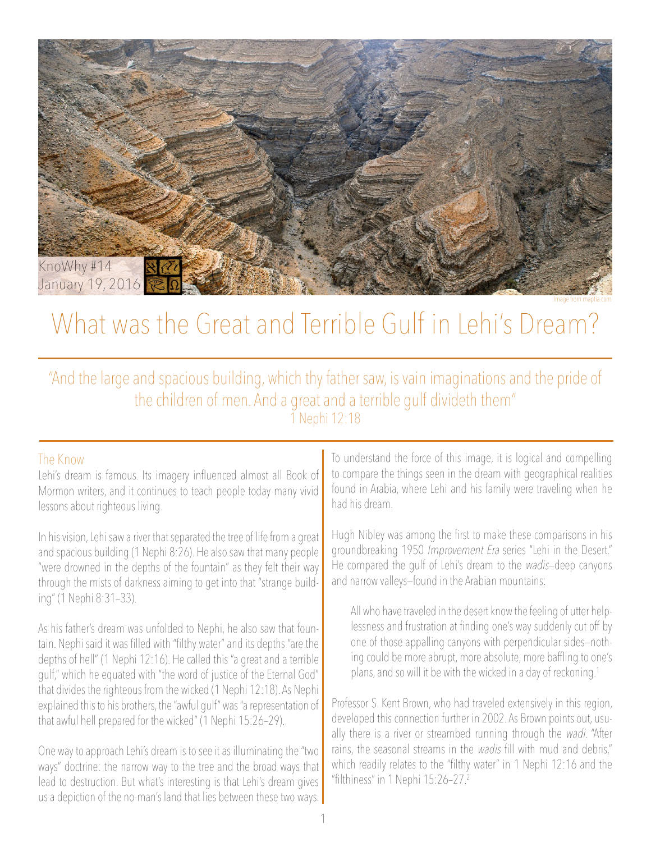

Image from maptia.com

## What was the Great and Terrible Gulf in Lehi's Dream?

"And the large and spacious building, which thy father saw, is vain imaginations and the pride of the children of men. And a great and a terrible gulf divideth them" 1 Nephi 12:18

## The Know

Lehi's dream is famous. Its imagery influenced almost all Book of Mormon writers, and it continues to teach people today many vivid lessons about righteous living.

In his vision, Lehi saw a river that separated the tree of life from a great and spacious building (1 Nephi 8:26). He also saw that many people "were drowned in the depths of the fountain" as they felt their way through the mists of darkness aiming to get into that "strange building" (1 Nephi 8:31–33).

As his father's dream was unfolded to Nephi, he also saw that fountain. Nephi said it was filled with "filthy water" and its depths "are the depths of hell" (1 Nephi 12:16). He called this "a great and a terrible gulf," which he equated with "the word of justice of the Eternal God" that divides the righteous from the wicked (1 Nephi 12:18). As Nephi explained this to his brothers, the "awful gulf" was "a representation of that awful hell prepared for the wicked" (1 Nephi 15:26–29).

One way to approach Lehi's dream is to see it as illuminating the "two ways" doctrine: the narrow way to the tree and the broad ways that lead to destruction. But what's interesting is that Lehi's dream gives us a depiction of the no-man's land that lies between these two ways.

To understand the force of this image, it is logical and compelling to compare the things seen in the dream with geographical realities found in Arabia, where Lehi and his family were traveling when he had his dream.

Hugh Nibley was among the first to make these comparisons in his groundbreaking 1950 Improvement Era series "Lehi in the Desert." He compared the gulf of Lehi's dream to the wadis—deep canyons and narrow valleys—found in the Arabian mountains:

All who have traveled in the desert know the feeling of utter helplessness and frustration at finding one's way suddenly cut off by one of those appalling canyons with perpendicular sides—nothing could be more abrupt, more absolute, more baffling to one's plans, and so will it be with the wicked in a day of reckoning.<sup>1</sup>

Professor S. Kent Brown, who had traveled extensively in this region, developed this connection further in 2002. As Brown points out, usually there is a river or streambed running through the wadi. "After rains, the seasonal streams in the *wadis* fill with mud and debris," which readily relates to the "filthy water" in 1 Nephi 12:16 and the "filthiness" in 1 Nephi 15:26–27.<sup>2</sup>